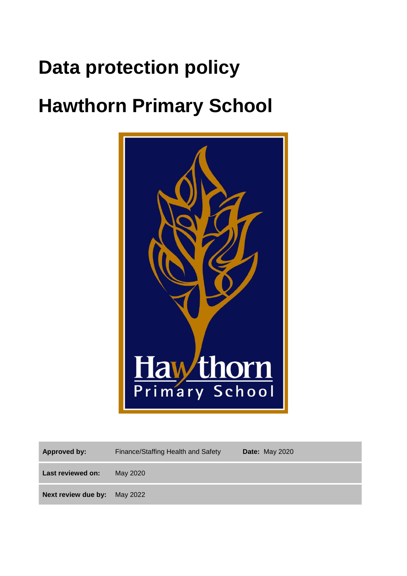# **Data protection policy**

# **Hawthorn Primary School**



| Approved by:                 | Finance/Staffing Health and Safety | <b>Date: May 2020</b> |
|------------------------------|------------------------------------|-----------------------|
| Last reviewed on:            | May 2020                           |                       |
| Next review due by: May 2022 |                                    |                       |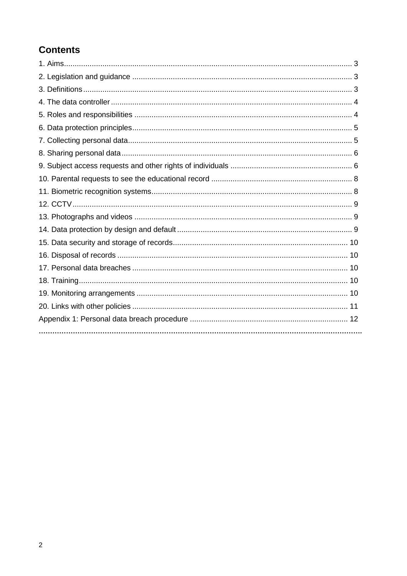# **Contents**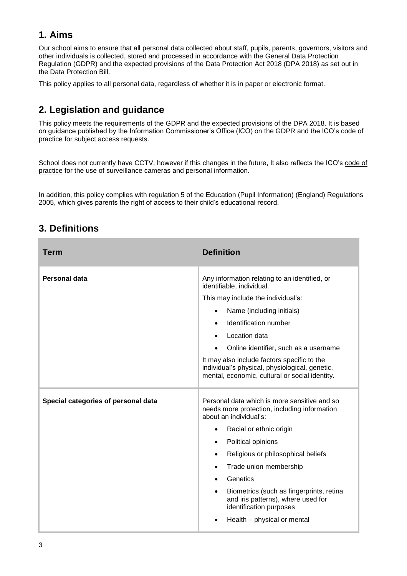## **1. Aims**

Our school aims to ensure that all personal data collected about staff, pupils, parents, governors, visitors and other individuals is collected, stored and processed in accordance with the [General Data Protection](http://data.consilium.europa.eu/doc/document/ST-5419-2016-INIT/en/pdf) [Regulation \(GDPR\)](http://data.consilium.europa.eu/doc/document/ST-5419-2016-INIT/en/pdf) and the expected provisions of the Data Protection Act 2018 (DPA 2018) as set out in the [Data Protection Bill.](https://publications.parliament.uk/pa/bills/cbill/2017-2019/0153/18153.pdf)

This policy applies to all personal data, regardless of whether it is in paper or electronic format.

# **2. Legislation and guidance**

This policy meets the requirements of the GDPR and the expected provisions of the DPA 2018. It is based on guidance published by the Information Commissioner's Office (ICO) on the [GDPR](https://ico.org.uk/for-organisations/guide-to-the-general-data-protection-regulation-gdpr/) and the ICO's [code of](https://ico.org.uk/media/for-organisations/documents/2014223/subject-access-code-of-practice.pdf)  [practice for subject access requests.](https://ico.org.uk/media/for-organisations/documents/2014223/subject-access-code-of-practice.pdf)

School does not currently have CCTV, however if this changes in the future, It also reflects the ICO's [code of](https://ico.org.uk/media/for-organisations/documents/1542/cctv-code-of-practice.pdf)  [practice](https://ico.org.uk/media/for-organisations/documents/1542/cctv-code-of-practice.pdf) for the use of surveillance cameras and personal information.

In addition, this policy complies with regulation 5 of the Education (Pupil Information) (England) Regulations [2005,](http://www.legislation.gov.uk/uksi/2005/1437/regulation/5/made) which gives parents the right of access to their child's educational record.

| <b>Term</b>                         | <b>Definition</b>                                                                                                                                                                                                                                                                                                                                                                                                                                   |
|-------------------------------------|-----------------------------------------------------------------------------------------------------------------------------------------------------------------------------------------------------------------------------------------------------------------------------------------------------------------------------------------------------------------------------------------------------------------------------------------------------|
| Personal data                       | Any information relating to an identified, or<br>identifiable, individual.<br>This may include the individual's:<br>Name (including initials)<br>$\bullet$<br>Identification number<br>Location data<br>Online identifier, such as a username<br>It may also include factors specific to the<br>individual's physical, physiological, genetic,<br>mental, economic, cultural or social identity.                                                    |
| Special categories of personal data | Personal data which is more sensitive and so<br>needs more protection, including information<br>about an individual's:<br>Racial or ethnic origin<br>$\bullet$<br>Political opinions<br>$\bullet$<br>Religious or philosophical beliefs<br>$\bullet$<br>Trade union membership<br>$\bullet$<br>Genetics<br>Biometrics (such as fingerprints, retina<br>and iris patterns), where used for<br>identification purposes<br>Health - physical or mental |

## **3. Definitions**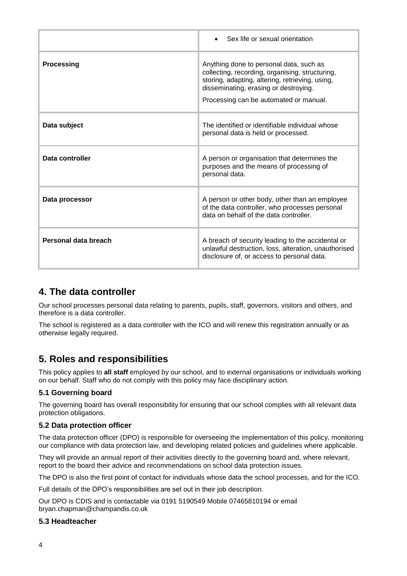|                      | Sex life or sexual orientation                                                                                                                                                                                                   |
|----------------------|----------------------------------------------------------------------------------------------------------------------------------------------------------------------------------------------------------------------------------|
| Processing           | Anything done to personal data, such as<br>collecting, recording, organising, structuring,<br>storing, adapting, altering, retrieving, using,<br>disseminating, erasing or destroying.<br>Processing can be automated or manual. |
| Data subject         | The identified or identifiable individual whose<br>personal data is held or processed.                                                                                                                                           |
| Data controller      | A person or organisation that determines the<br>purposes and the means of processing of<br>personal data.                                                                                                                        |
| Data processor       | A person or other body, other than an employee<br>of the data controller, who processes personal<br>data on behalf of the data controller.                                                                                       |
| Personal data breach | A breach of security leading to the accidental or<br>unlawful destruction, loss, alteration, unauthorised<br>disclosure of, or access to personal data.                                                                          |

## **4. The data controller**

Our school processes personal data relating to parents, pupils, staff, governors, visitors and others, and therefore is a data controller.

The school is registered as a data controller with the ICO and will renew this registration annually or as otherwise legally required.

## **5. Roles and responsibilities**

This policy applies to **all staff** employed by our school, and to external organisations or individuals working on our behalf. Staff who do not comply with this policy may face disciplinary action.

#### **5.1 Governing board**

The governing board has overall responsibility for ensuring that our school complies with all relevant data protection obligations.

#### **5.2 Data protection officer**

The data protection officer (DPO) is responsible for overseeing the implementation of this policy, monitoring our compliance with data protection law, and developing related policies and guidelines where applicable.

They will provide an annual report of their activities directly to the governing board and, where relevant, report to the board their advice and recommendations on school data protection issues.

The DPO is also the first point of contact for individuals whose data the school processes, and for the ICO.

Full details of the DPO's responsibilities are set out in their job description.

Our DPO is CDIS and is contactable via 0191 5190549 Mobile 07465810194 or email bryan.chapman@champandis.co.uk

#### **5.3 Headteacher**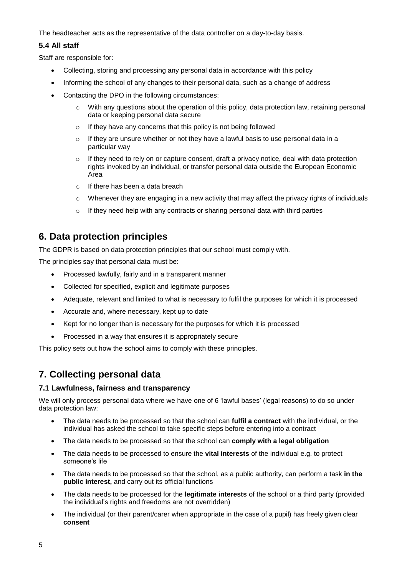The headteacher acts as the representative of the data controller on a day-to-day basis.

#### **5.4 All staff**

Staff are responsible for:

- Collecting, storing and processing any personal data in accordance with this policy
- Informing the school of any changes to their personal data, such as a change of address
- Contacting the DPO in the following circumstances:
	- $\circ$  With any questions about the operation of this policy, data protection law, retaining personal data or keeping personal data secure
	- o If they have any concerns that this policy is not being followed
	- o If they are unsure whether or not they have a lawful basis to use personal data in a particular way
	- $\circ$  If they need to rely on or capture consent, draft a privacy notice, deal with data protection rights invoked by an individual, or transfer personal data outside the European Economic Area
	- o If there has been a data breach
	- $\circ$  Whenever they are engaging in a new activity that may affect the privacy rights of individuals
	- o If they need help with any contracts or sharing personal data with third parties

## **6. Data protection principles**

The GDPR is based on data protection principles that our school must comply with.

The principles say that personal data must be:

- Processed lawfully, fairly and in a transparent manner
- Collected for specified, explicit and legitimate purposes
- Adequate, relevant and limited to what is necessary to fulfil the purposes for which it is processed
- Accurate and, where necessary, kept up to date
- Kept for no longer than is necessary for the purposes for which it is processed
- Processed in a way that ensures it is appropriately secure

This policy sets out how the school aims to comply with these principles.

## **7. Collecting personal data**

#### **7.1 Lawfulness, fairness and transparency**

We will only process personal data where we have one of 6 'lawful bases' (legal reasons) to do so under data protection law:

- The data needs to be processed so that the school can **fulfil a contract** with the individual, or the individual has asked the school to take specific steps before entering into a contract
- The data needs to be processed so that the school can **comply with a legal obligation**
- The data needs to be processed to ensure the **vital interests** of the individual e.g. to protect someone's life
- The data needs to be processed so that the school, as a public authority, can perform a task **in the public interest,** and carry out its official functions
- The data needs to be processed for the **legitimate interests** of the school or a third party (provided the individual's rights and freedoms are not overridden)
- The individual (or their parent/carer when appropriate in the case of a pupil) has freely given clear **consent**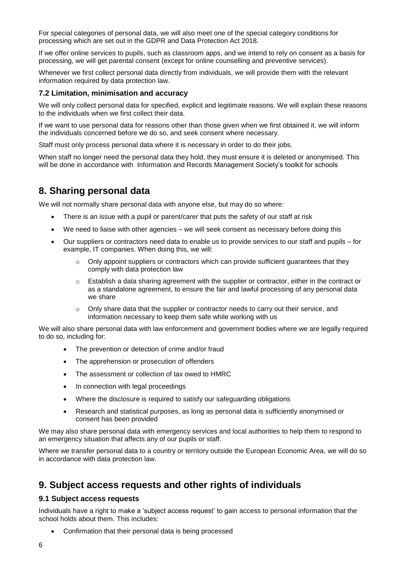For special categories of personal data, we will also meet one of the special category conditions for processing which are set out in the GDPR and Data Protection Act 2018.

If we offer online services to pupils, such as classroom apps, and we intend to rely on consent as a basis for processing, we will get parental consent (except for online counselling and preventive services).

Whenever we first collect personal data directly from individuals, we will provide them with the relevant information required by data protection law.

#### **7.2 Limitation, minimisation and accuracy**

We will only collect personal data for specified, explicit and legitimate reasons. We will explain these reasons to the individuals when we first collect their data.

If we want to use personal data for reasons other than those given when we first obtained it, we will inform the individuals concerned before we do so, and seek consent where necessary.

Staff must only process personal data where it is necessary in order to do their jobs.

When staff no longer need the personal data they hold, they must ensure it is deleted or anonymised. This will be done in accordance with [Information and Records Management Society's toolkit for schools](http://irms.org.uk/?page=schoolstoolkit&terms=%22toolkit+and+schools%22)

### **8. Sharing personal data**

We will not normally share personal data with anyone else, but may do so where:

- There is an issue with a pupil or parent/carer that puts the safety of our staff at risk
- We need to liaise with other agencies we will seek consent as necessary before doing this
- Our suppliers or contractors need data to enable us to provide services to our staff and pupils for example, IT companies. When doing this, we will:
	- $\circ$  Only appoint suppliers or contractors which can provide sufficient quarantees that they comply with data protection law
	- $\circ$  Establish a data sharing agreement with the supplier or contractor, either in the contract or as a standalone agreement, to ensure the fair and lawful processing of any personal data we share
	- $\circ$  Only share data that the supplier or contractor needs to carry out their service, and information necessary to keep them safe while working with us

We will also share personal data with law enforcement and government bodies where we are legally required to do so, including for:

- The prevention or detection of crime and/or fraud
- The apprehension or prosecution of offenders
- The assessment or collection of tax owed to HMRC
- In connection with legal proceedings
- Where the disclosure is required to satisfy our safeguarding obligations
- Research and statistical purposes, as long as personal data is sufficiently anonymised or consent has been provided

We may also share personal data with emergency services and local authorities to help them to respond to an emergency situation that affects any of our pupils or staff.

Where we transfer personal data to a country or territory outside the European Economic Area, we will do so in accordance with data protection law.

## **9. Subject access requests and other rights of individuals**

#### **9.1 Subject access requests**

Individuals have a right to make a 'subject access request' to gain access to personal information that the school holds about them. This includes:

• Confirmation that their personal data is being processed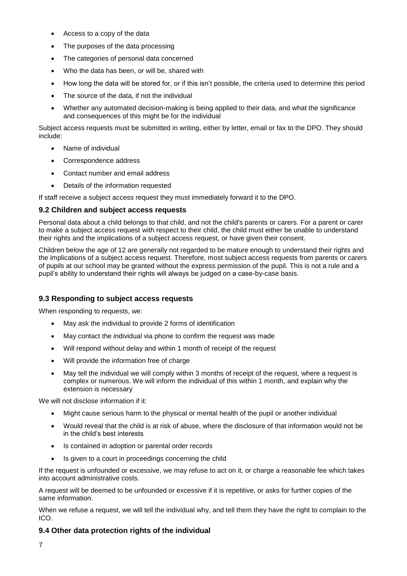- Access to a copy of the data
- The purposes of the data processing
- The categories of personal data concerned
- Who the data has been, or will be, shared with
- How long the data will be stored for, or if this isn't possible, the criteria used to determine this period
- The source of the data, if not the individual
- Whether any automated decision-making is being applied to their data, and what the significance and consequences of this might be for the individual

Subject access requests must be submitted in writing, either by letter, email or fax to the DPO. They should include:

- Name of individual
- Correspondence address
- Contact number and email address
- Details of the information requested

If staff receive a subject access request they must immediately forward it to the DPO.

#### **9.2 Children and subject access requests**

Personal data about a child belongs to that child, and not the child's parents or carers. For a parent or carer to make a subject access request with respect to their child, the child must either be unable to understand their rights and the implications of a subject access request, or have given their consent.

Children below the age of 12 are generally not regarded to be mature enough to understand their rights and the implications of a subject access request. Therefore, most subject access requests from parents or carers of pupils at our school may be granted without the express permission of the pupil. This is not a rule and a pupil's ability to understand their rights will always be judged on a case-by-case basis.

#### **9.3 Responding to subject access requests**

When responding to requests, we:

- May ask the individual to provide 2 forms of identification
- May contact the individual via phone to confirm the request was made
- Will respond without delay and within 1 month of receipt of the request
- Will provide the information free of charge
- May tell the individual we will comply within 3 months of receipt of the request, where a request is complex or numerous. We will inform the individual of this within 1 month, and explain why the extension is necessary

We will not disclose information if it:

- Might cause serious harm to the physical or mental health of the pupil or another individual
- Would reveal that the child is at risk of abuse, where the disclosure of that information would not be in the child's best interests
- Is contained in adoption or parental order records
- Is given to a court in proceedings concerning the child

If the request is unfounded or excessive, we may refuse to act on it, or charge a reasonable fee which takes into account administrative costs.

A request will be deemed to be unfounded or excessive if it is repetitive, or asks for further copies of the same information.

When we refuse a request, we will tell the individual why, and tell them they have the right to complain to the ICO.

#### **9.4 Other data protection rights of the individual**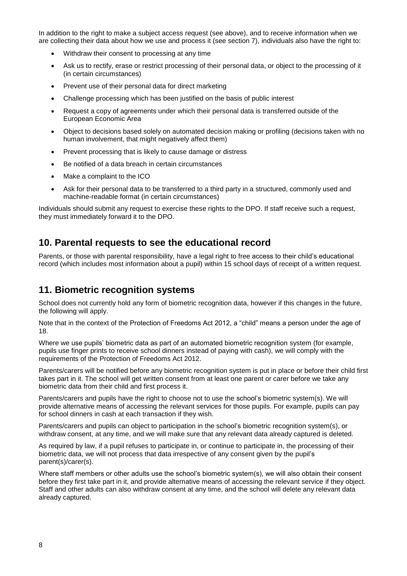In addition to the right to make a subject access request (see above), and to receive information when we are collecting their data about how we use and process it (see section 7), individuals also have the right to:

- Withdraw their consent to processing at any time
- Ask us to rectify, erase or restrict processing of their personal data, or object to the processing of it (in certain circumstances)
- Prevent use of their personal data for direct marketing
- Challenge processing which has been justified on the basis of public interest
- Request a copy of agreements under which their personal data is transferred outside of the European Economic Area
- Object to decisions based solely on automated decision making or profiling (decisions taken with no human involvement, that might negatively affect them)
- Prevent processing that is likely to cause damage or distress
- Be notified of a data breach in certain circumstances
- Make a complaint to the ICO
- Ask for their personal data to be transferred to a third party in a structured, commonly used and machine-readable format (in certain circumstances)

Individuals should submit any request to exercise these rights to the DPO. If staff receive such a request, they must immediately forward it to the DPO.

## **10. Parental requests to see the educational record**

Parents, or those with parental responsibility, have a legal right to free access to their child's educational record (which includes most information about a pupil) within 15 school days of receipt of a written request.

## **11. Biometric recognition systems**

School does not currently hold any form of biometric recognition data, however if this changes in the future, the following will apply.

Note that in the context of the Protection of Freedoms Act 2012, a "child" means a person under the age of 18.

Where we use pupils' biometric data as part of an automated biometric recognition system (for example, pupils use finger prints to receive school dinners instead of paying with cash), we will comply with the requirements of the [Protection of Freedoms Act 2012.](https://www.legislation.gov.uk/ukpga/2012/9/section/26)

Parents/carers will be notified before any biometric recognition system is put in place or before their child first takes part in it. The school will get written consent from at least one parent or carer before we take any biometric data from their child and first process it.

Parents/carers and pupils have the right to choose not to use the school's biometric system(s). We will provide alternative means of accessing the relevant services for those pupils. For example, pupils can pay for school dinners in cash at each transaction if they wish.

Parents/carers and pupils can object to participation in the school's biometric recognition system(s), or withdraw consent, at any time, and we will make sure that any relevant data already captured is deleted.

As required by law, if a pupil refuses to participate in, or continue to participate in, the processing of their biometric data, we will not process that data irrespective of any consent given by the pupil's parent(s)/carer(s).

Where staff members or other adults use the school's biometric system(s), we will also obtain their consent before they first take part in it, and provide alternative means of accessing the relevant service if they object. Staff and other adults can also withdraw consent at any time, and the school will delete any relevant data already captured.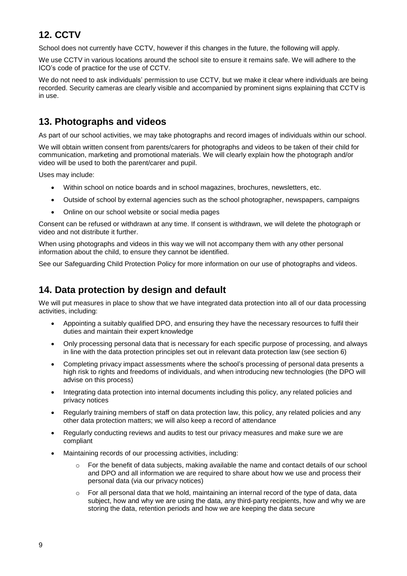# **12. CCTV**

School does not currently have CCTV, however if this changes in the future, the following will apply.

We use CCTV in various locations around the school site to ensure it remains safe. We will adhere to the ICO's [code of practice](https://ico.org.uk/media/for-organisations/documents/1542/cctv-code-of-practice.pdf) for the use of CCTV.

We do not need to ask individuals' permission to use CCTV, but we make it clear where individuals are being recorded. Security cameras are clearly visible and accompanied by prominent signs explaining that CCTV is in use.

## **13. Photographs and videos**

As part of our school activities, we may take photographs and record images of individuals within our school.

We will obtain written consent from parents/carers for photographs and videos to be taken of their child for communication, marketing and promotional materials. We will clearly explain how the photograph and/or video will be used to both the parent/carer and pupil.

Uses may include:

- Within school on notice boards and in school magazines, brochures, newsletters, etc.
- Outside of school by external agencies such as the school photographer, newspapers, campaigns
- Online on our school website or social media pages

Consent can be refused or withdrawn at any time. If consent is withdrawn, we will delete the photograph or video and not distribute it further.

When using photographs and videos in this way we will not accompany them with any other personal information about the child, to ensure they cannot be identified.

See our Safeguarding Child Protection Policy for more information on our use of photographs and videos.

## **14. Data protection by design and default**

We will put measures in place to show that we have integrated data protection into all of our data processing activities, including:

- Appointing a suitably qualified DPO, and ensuring they have the necessary resources to fulfil their duties and maintain their expert knowledge
- Only processing personal data that is necessary for each specific purpose of processing, and always in line with the data protection principles set out in relevant data protection law (see section 6)
- Completing privacy impact assessments where the school's processing of personal data presents a high risk to rights and freedoms of individuals, and when introducing new technologies (the DPO will advise on this process)
- Integrating data protection into internal documents including this policy, any related policies and privacy notices
- Regularly training members of staff on data protection law, this policy, any related policies and any other data protection matters; we will also keep a record of attendance
- Regularly conducting reviews and audits to test our privacy measures and make sure we are compliant
- Maintaining records of our processing activities, including:
	- $\circ$  For the benefit of data subjects, making available the name and contact details of our school and DPO and all information we are required to share about how we use and process their personal data (via our privacy notices)
	- $\circ$  For all personal data that we hold, maintaining an internal record of the type of data, data subject, how and why we are using the data, any third-party recipients, how and why we are storing the data, retention periods and how we are keeping the data secure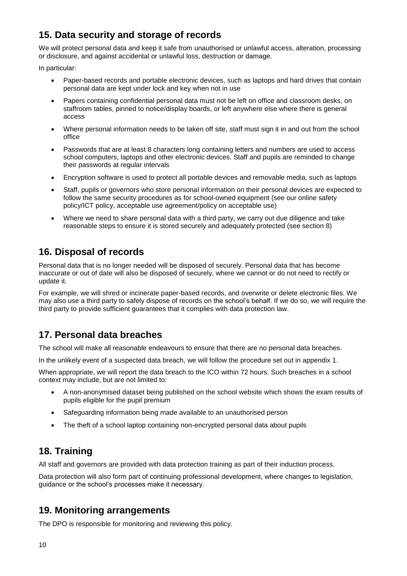## **15. Data security and storage of records**

We will protect personal data and keep it safe from unauthorised or unlawful access, alteration, processing or disclosure, and against accidental or unlawful loss, destruction or damage.

In particular:

- Paper-based records and portable electronic devices, such as laptops and hard drives that contain personal data are kept under lock and key when not in use
- Papers containing confidential personal data must not be left on office and classroom desks, on staffroom tables, pinned to notice/display boards, or left anywhere else where there is general access
- Where personal information needs to be taken off site, staff must sign it in and out from the school office
- Passwords that are at least 8 characters long containing letters and numbers are used to access school computers, laptops and other electronic devices. Staff and pupils are reminded to change their passwords at regular intervals
- Encryption software is used to protect all portable devices and removable media, such as laptops
- Staff, pupils or governors who store personal information on their personal devices are expected to follow the same security procedures as for school-owned equipment (see our online safety policy/ICT policy, acceptable use agreement/policy on acceptable use)
- Where we need to share personal data with a third party, we carry out due diligence and take reasonable steps to ensure it is stored securely and adequately protected (see section 8)

## **16. Disposal of records**

Personal data that is no longer needed will be disposed of securely. Personal data that has become inaccurate or out of date will also be disposed of securely, where we cannot or do not need to rectify or update it.

For example, we will shred or incinerate paper-based records, and overwrite or delete electronic files. We may also use a third party to safely dispose of records on the school's behalf. If we do so, we will require the third party to provide sufficient guarantees that it complies with data protection law.

## **17. Personal data breaches**

The school will make all reasonable endeavours to ensure that there are no personal data breaches.

In the unlikely event of a suspected data breach, we will follow the procedure set out in appendix 1.

When appropriate, we will report the data breach to the ICO within 72 hours. Such breaches in a school context may include, but are not limited to:

- A non-anonymised dataset being published on the school website which shows the exam results of pupils eligible for the pupil premium
- Safeguarding information being made available to an unauthorised person
- The theft of a school laptop containing non-encrypted personal data about pupils

## **18. Training**

All staff and governors are provided with data protection training as part of their induction process.

Data protection will also form part of continuing professional development, where changes to legislation, guidance or the school's processes make it necessary.

## **19. Monitoring arrangements**

The DPO is responsible for monitoring and reviewing this policy.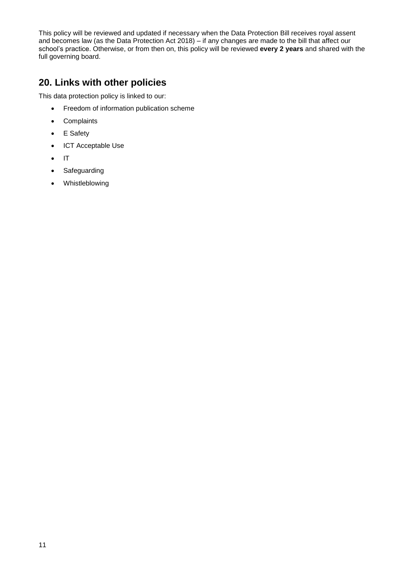This policy will be reviewed and updated if necessary when the Data Protection Bill receives royal assent and becomes law (as the Data Protection Act 2018) – if any changes are made to the bill that affect our school's practice. Otherwise, or from then on, this policy will be reviewed **every 2 years** and shared with the full governing board.

## **20. Links with other policies**

This data protection policy is linked to our:

- Freedom of information publication scheme
- Complaints
- E Safety
- ICT Acceptable Use
- IT
- Safeguarding
- Whistleblowing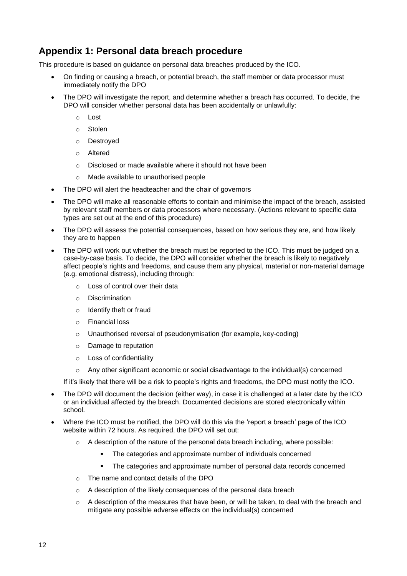## **Appendix 1: Personal data breach procedure**

This procedure is based on [guidance on personal data breaches](https://ico.org.uk/for-organisations/guide-to-the-general-data-protection-regulation-gdpr/personal-data-breaches/) produced by the ICO.

- On finding or causing a breach, or potential breach, the staff member or data processor must immediately notify the DPO
- The DPO will investigate the report, and determine whether a breach has occurred. To decide, the DPO will consider whether personal data has been accidentally or unlawfully:
	- o Lost
	- o Stolen
	- o Destroyed
	- o Altered
	- o Disclosed or made available where it should not have been
	- o Made available to unauthorised people
- The DPO will alert the headteacher and the chair of governors
- The DPO will make all reasonable efforts to contain and minimise the impact of the breach, assisted by relevant staff members or data processors where necessary. (Actions relevant to specific data types are set out at the end of this procedure)
- The DPO will assess the potential consequences, based on how serious they are, and how likely they are to happen
- The DPO will work out whether the breach must be reported to the ICO. This must be judged on a case-by-case basis. To decide, the DPO will consider whether the breach is likely to negatively affect people's rights and freedoms, and cause them any physical, material or non-material damage (e.g. emotional distress), including through:
	- o Loss of control over their data
	- o Discrimination
	- o Identify theft or fraud
	- o Financial loss
	- $\circ$  Unauthorised reversal of pseudonymisation (for example, key-coding)
	- o Damage to reputation
	- o Loss of confidentiality
	- o Any other significant economic or social disadvantage to the individual(s) concerned

If it's likely that there will be a risk to people's rights and freedoms, the DPO must notify the ICO.

- The DPO will document the decision (either way), in case it is challenged at a later date by the ICO or an individual affected by the breach. Documented decisions are stored electronically within school.
- Where the ICO must be notified, the DPO will do this via the ['report a breach' page of the ICO](https://ico.org.uk/for-organisations/report-a-breach/)  [website](https://ico.org.uk/for-organisations/report-a-breach/) within 72 hours. As required, the DPO will set out:
	- $\circ$  A description of the nature of the personal data breach including, where possible:
		- The categories and approximate number of individuals concerned
		- **•** The categories and approximate number of personal data records concerned
	- o The name and contact details of the DPO
	- o A description of the likely consequences of the personal data breach
	- $\circ$  A description of the measures that have been, or will be taken, to deal with the breach and mitigate any possible adverse effects on the individual(s) concerned